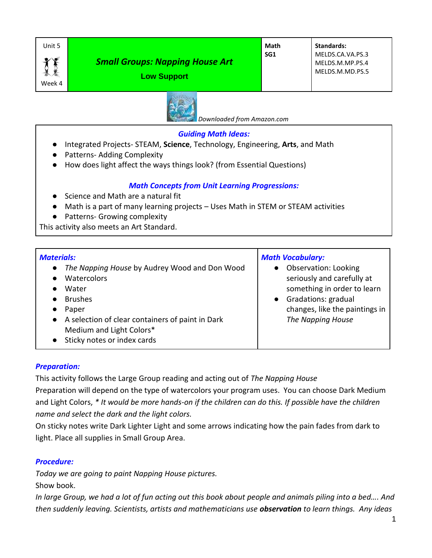

Week 4

# *Small Groups: Napping House Art*





 *Downloaded from Amazon.com*

#### *Guiding Math Ideas:*

- Integrated Projects- STEAM, **Science**, Technology, Engineering, **Arts**, and Math
- Patterns- Adding Complexity
- How does light affect the ways things look? (from Essential Questions)

## *Math Concepts from Unit Learning Progressions:*

- Science and Math are a natural fit
- Math is a part of many learning projects Uses Math in STEM or STEAM activities
- Patterns- Growing complexity

This activity also meets an Art Standard.

#### *Materials:*

● *The Napping House* by Audrey Wood and Don Wood

- Watercolors
- Water
- Brushes
- Paper
- A selection of clear containers of paint in Dark Medium and Light Colors\*
- Sticky notes or index cards

# *Math Vocabulary:*

- Observation: Looking seriously and carefully at something in order to learn
- Gradations: gradual changes, like the paintings in *The Napping House*

## *Preparation:*

This activity follows the Large Group reading and acting out of *The Napping House* Preparation will depend on the type of watercolors your program uses. You can choose Dark Medium and Light Colors, *\* It would be more hands-on if the children can do this. If possible have the children name and select the dark and the light colors.* 

On sticky notes write Dark Lighter Light and some arrows indicating how the pain fades from dark to light. Place all supplies in Small Group Area.

#### *Procedure:*

*Today we are going to paint Napping House pictures.* 

Show book.

*In large Group, we had a lot of fun acting out this book about people and animals piling into a bed…. And then suddenly leaving. Scientists, artists and mathematicians use observation to learn things. Any ideas*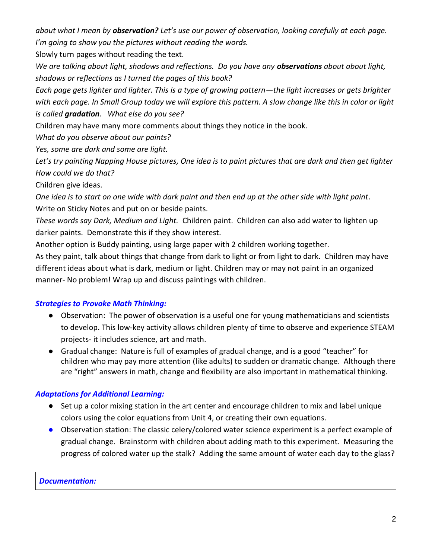*about what I mean by observation? Let's use our power of observation, looking carefully at each page. I'm going to show you the pictures without reading the words.* 

Slowly turn pages without reading the text.

*We are talking about light, shadows and reflections. Do you have any observations about about light, shadows or reflections as I turned the pages of this book?*

*Each page gets lighter and lighter. This is a type of growing pattern—the light increases or gets brighter with each page. In Small Group today we will explore this pattern. A slow change like this in color or light is called gradation. What else do you see?*

Children may have many more comments about things they notice in the book.

*What do you observe about our paints?*

*Yes, some are dark and some are light.*

*Let's try painting Napping House pictures, One idea is to paint pictures that are dark and then get lighter How could we do that?*

Children give ideas.

*One idea is to start on one wide with dark paint and then end up at the other side with light paint*. Write on Sticky Notes and put on or beside paints.

*These words say Dark, Medium and Light.* Children paint. Children can also add water to lighten up darker paints. Demonstrate this if they show interest.

Another option is Buddy painting, using large paper with 2 children working together.

As they paint, talk about things that change from dark to light or from light to dark. Children may have different ideas about what is dark, medium or light. Children may or may not paint in an organized manner- No problem! Wrap up and discuss paintings with children.

## *Strategies to Provoke Math Thinking:*

- Observation: The power of observation is a useful one for young mathematicians and scientists to develop. This low-key activity allows children plenty of time to observe and experience STEAM projects- it includes science, art and math.
- Gradual change: Nature is full of examples of gradual change, and is a good "teacher" for children who may pay more attention (like adults) to sudden or dramatic change. Although there are "right" answers in math, change and flexibility are also important in mathematical thinking.

## *Adaptations for Additional Learning:*

- Set up a color mixing station in the art center and encourage children to mix and label unique colors using the color equations from Unit 4, or creating their own equations.
- Observation station: The classic celery/colored water science experiment is a perfect example of gradual change. Brainstorm with children about adding math to this experiment. Measuring the progress of colored water up the stalk? Adding the same amount of water each day to the glass?

#### *Documentation:*